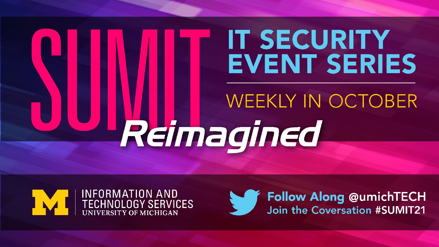# **IT SECURITY EVENT SERIES WEEKLY IN OCTOBER** Reimagined





**Follow Along @umichTECH**<br>Join the Coversation #SUMIT21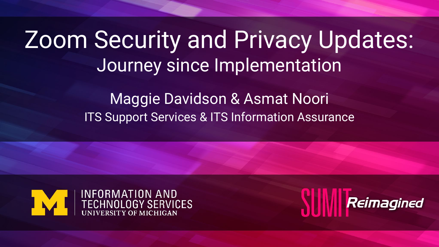### Zoom Security and Privacy Updates: Journey since Implementation

Maggie Davidson & Asmat Noori ITS Support Services & ITS Information Assurance



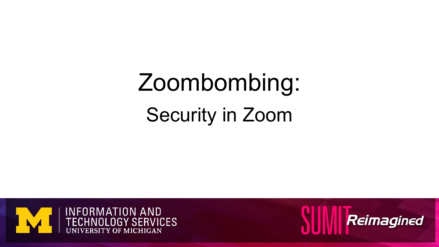## Zoombombing: Security in Zoom



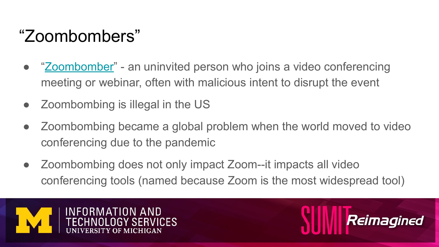#### "Zoombombers"

- "[Zoombomber"](https://en.wikipedia.org/wiki/Zoombombing) an uninvited person who joins a video conferencing meeting or webinar, often with malicious intent to disrupt the event
- Zoombombing is illegal in the US
- Zoombombing became a global problem when the world moved to video conferencing due to the pandemic
- Zoombombing does not only impact Zoom--it impacts all video conferencing tools (named because Zoom is the most widespread tool)



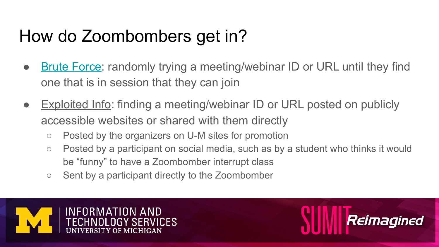#### How do Zoombombers get in?

- **[Brute Force:](https://en.wikipedia.org/wiki/Brute-force_attack) randomly trying a meeting/webinar ID or URL until they find** one that is in session that they can join
- **Exploited Info: finding a meeting/webinar ID or URL posted on publicly** accessible websites or shared with them directly
	- Posted by the organizers on U-M sites for promotion
	- Posted by a participant on social media, such as by a student who thinks it would be "funny" to have a Zoombomber interrupt class

Reimagined

○ Sent by a participant directly to the Zoombomber

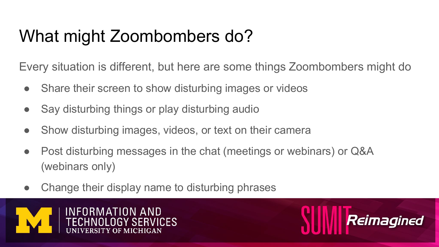#### What might Zoombombers do?

Every situation is different, but here are some things Zoombombers might do

- Share their screen to show disturbing images or videos
- Say disturbing things or play disturbing audio
- Show disturbing images, videos, or text on their camera
- Post disturbing messages in the chat (meetings or webinars) or Q&A (webinars only)
- Change their display name to disturbing phrases



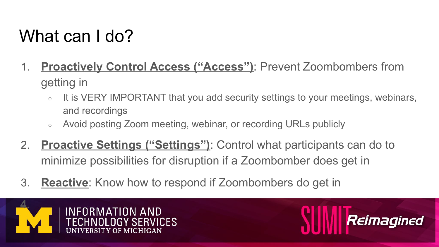#### What can I do?

- 1. **Proactively Control Access ("Access")**: Prevent Zoombombers from getting in
	- It is VERY IMPORTANT that you add security settings to your meetings, webinars, and recordings
	- Avoid posting Zoom meeting, webinar, or recording URLs publicly
- 2. **Proactive Settings ("Settings")**: Control what participants can do to minimize possibilities for disruption if a Zoombomber does get in
- 3. **Reactive**: Know how to respond if Zoombombers do get in



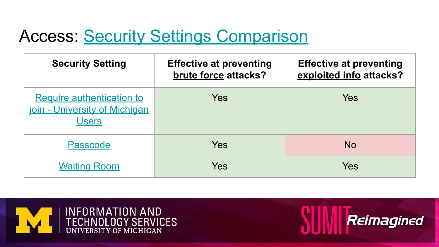#### **Access: [Security Settings Comparison](https://teamdynamix.umich.edu/TDClient/30/Portal/KB/ArticleDet?ID=3003)**

| <b>Security Setting</b>                                                           | <b>Effective at preventing</b><br>brute force attacks? | <b>Effective at preventing</b><br>exploited info attacks? |
|-----------------------------------------------------------------------------------|--------------------------------------------------------|-----------------------------------------------------------|
| <b>Require authentication to</b><br>join - University of Michigan<br><b>Users</b> | Yes                                                    | Yes                                                       |
| Passcode                                                                          | Yes                                                    | <b>No</b>                                                 |
| <b>Waiting Room</b>                                                               | Yes                                                    | Yes                                                       |



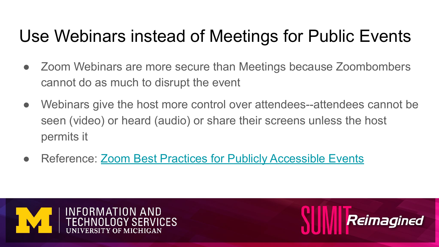#### Use Webinars instead of Meetings for Public Events

- Zoom Webinars are more secure than Meetings because Zoombombers cannot do as much to disrupt the event
- Webinars give the host more control over attendees--attendees cannot be seen (video) or heard (audio) or share their screens unless the host permits it

Reimagined

Reference: [Zoom Best Practices for Publicly Accessible Events](https://teamdynamix.umich.edu/TDClient/30/Portal/KB/ArticleDet?ID=4594)

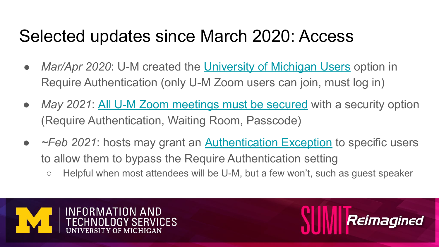#### Selected updates since March 2020: Access

- *Mar/Apr 2020*: U-M created the [University of Michigan Users](https://teamdynamix.umich.edu/TDClient/30/Portal/KB/ArticleDet?ID=3328) option in Require Authentication (only U-M Zoom users can join, must log in)
- *May 2021*: [All U-M Zoom meetings must be secured](https://teamdynamix.umich.edu/TDClient/30/Portal/KB/ArticleDet?ID=4589) with a security option (Require Authentication, Waiting Room, Passcode)
- *~Feb 2021*: hosts may grant an [Authentication Exception](https://teamdynamix.umich.edu/TDClient/30/Portal/KB/ArticleDet?ID=4580) to specific users to allow them to bypass the Require Authentication setting ○ Helpful when most attendees will be U-M, but a few won't, such as quest speaker
	-



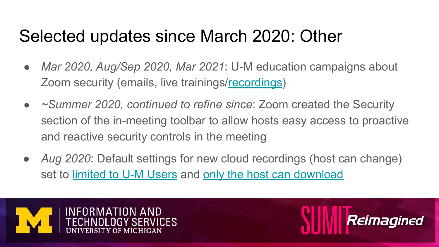#### Selected updates since March 2020: Other

- *Mar 2020, Aug/Sep 2020, Mar 2021*: U-M education campaigns about Zoom security (emails, live trainings[/recordings](https://its.umich.edu/communication/videoconferencing/zoom/training))
- *~Summer 2020, continued to refine since*: Zoom created the Security section of the in-meeting toolbar to allow hosts easy access to proactive and reactive security controls in the meeting
- Aug 2020: Default settings for new cloud recordings (host can change) set to [limited to U-M Users](https://teamdynamix.umich.edu/TDClient/30/Portal/KB/ArticleDet?ID=3319) and [only the host can download](https://teamdynamix.umich.edu/TDClient/30/Portal/KB/ArticleDet?ID=3314)



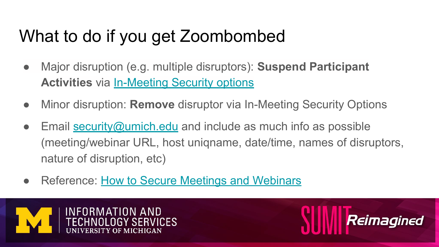#### What to do if you get Zoombombed

- Major disruption (e.g. multiple disruptors): **Suspend Participant Activities** via [In-Meeting Security options](https://support.zoom.us/hc/en-us/articles/360041848151-In-meeting-security-options)
- Minor disruption: **Remove** disruptor via In-Meeting Security Options
- Email  $\frac{security(@umich.edu)}{sclu}$  and include as much info as possible (meeting/webinar URL, host uniqname, date/time, names of disruptors, nature of disruption, etc)
- Reference: [How to Secure Meetings and Webinars](https://its.umich.edu/communication/videoconferencing/zoom/how-to-secure-meetings)



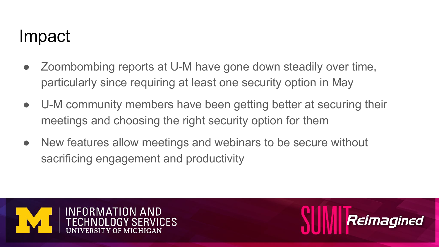#### Impact

- Zoombombing reports at U-M have gone down steadily over time, particularly since requiring at least one security option in May
- U-M community members have been getting better at securing their meetings and choosing the right security option for them

Reimagined

New features allow meetings and webinars to be secure without sacrificing engagement and productivity

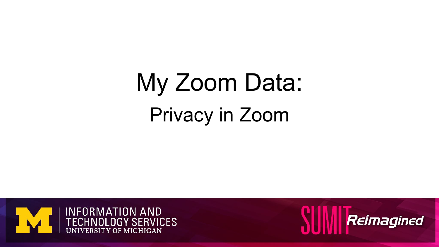## My Zoom Data: Privacy in Zoom



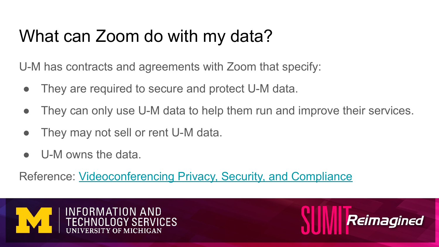#### What can Zoom do with my data?

U-M has contracts and agreements with Zoom that specify:

- They are required to secure and protect U-M data.
- They can only use U-M data to help them run and improve their services.
- They may not sell or rent U-M data.
- U-M owns the data.

Reference: [Videoconferencing Privacy, Security, and Compliance](https://safecomputing.umich.edu/privacy/privacy-u-m/videoconferencing)



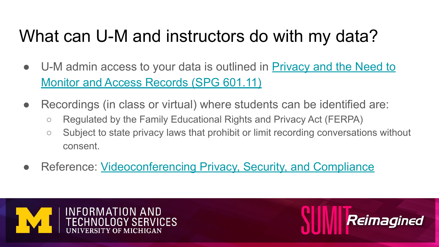#### What can U-M and instructors do with my data?

- U-M admin access to your data is outlined in **Privacy and the Need to** [Monitor and Access Records \(SPG 601.11\)](https://spg.umich.edu/policy/601.11)
- Recordings (in class or virtual) where students can be identified are:
	- Regulated by the Family Educational Rights and Privacy Act (FERPA)
	- Subject to state privacy laws that prohibit or limit recording conversations without consent.
- Reference: [Videoconferencing Privacy, Security, and Compliance](https://safecomputing.umich.edu/privacy/privacy-u-m/videoconferencing)



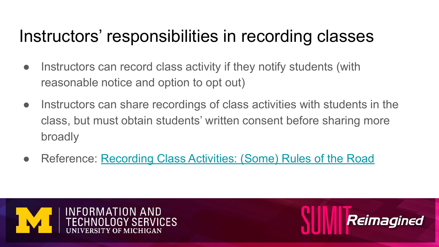#### Instructors' responsibilities in recording classes

- Instructors can record class activity if they notify students (with reasonable notice and option to opt out)
- Instructors can share recordings of class activities with students in the class, but must obtain students' written consent before sharing more broadly
- Reference: [Recording Class Activities: \(Some\) Rules of the Road](https://safecomputing.umich.edu/privacy/privacy-u-m/videoconferencing/recording-privacy-concerns)



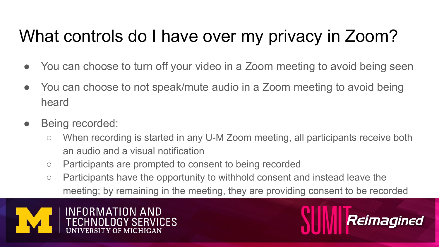#### What controls do I have over my privacy in Zoom?

- You can choose to turn off your video in a Zoom meeting to avoid being seen
- You can choose to not speak/mute audio in a Zoom meeting to avoid being heard
- Being recorded:
	- When recording is started in any U-M Zoom meeting, all participants receive both an audio and a visual notification
	- Participants are prompted to consent to being recorded
	- Participants have the opportunity to withhold consent and instead leave the meeting; by remaining in the meeting, they are providing consent to be recorded